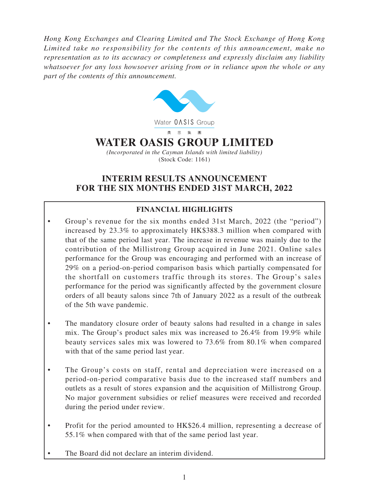*Hong Kong Exchanges and Clearing Limited and The Stock Exchange of Hong Kong Limited take no responsibility for the contents of this announcement, make no representation as to its accuracy or completeness and expressly disclaim any liability whatsoever for any loss howsoever arising from or in reliance upon the whole or any part of the contents of this announcement.*



# **INTERIM RESULTS ANNOUNCEMENT FOR THE SIX MONTHS ENDED 31ST MARCH, 2022**

# **FINANCIAL HIGHLIGHTS**

- Group's revenue for the six months ended 31st March, 2022 (the "period") increased by 23.3% to approximately HK\$388.3 million when compared with that of the same period last year. The increase in revenue was mainly due to the contribution of the Millistrong Group acquired in June 2021. Online sales performance for the Group was encouraging and performed with an increase of 29% on a period-on-period comparison basis which partially compensated for the shortfall on customers traffic through its stores. The Group's sales performance for the period was significantly affected by the government closure orders of all beauty salons since 7th of January 2022 as a result of the outbreak of the 5th wave pandemic.
- The mandatory closure order of beauty salons had resulted in a change in sales mix. The Group's product sales mix was increased to 26.4% from 19.9% while beauty services sales mix was lowered to 73.6% from 80.1% when compared with that of the same period last year.
- The Group's costs on staff, rental and depreciation were increased on a period-on-period comparative basis due to the increased staff numbers and outlets as a result of stores expansion and the acquisition of Millistrong Group. No major government subsidies or relief measures were received and recorded during the period under review.
- Profit for the period amounted to HK\$26.4 million, representing a decrease of 55.1% when compared with that of the same period last year.
- The Board did not declare an interim dividend.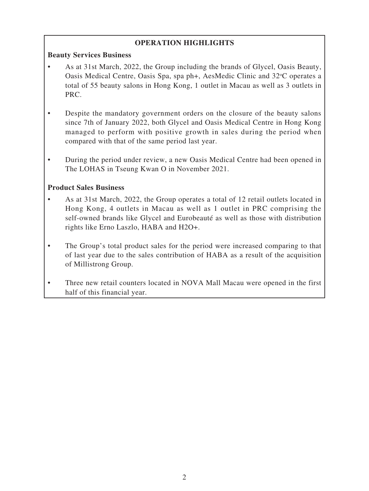# **OPERATION HIGHLIGHTS**

### **Beauty Services Business**

- As at 31st March, 2022, the Group including the brands of Glycel, Oasis Beauty, Oasis Medical Centre, Oasis Spa, spa ph+, AesMedic Clinic and 32°C operates a total of 55 beauty salons in Hong Kong, 1 outlet in Macau as well as 3 outlets in PRC.
- Despite the mandatory government orders on the closure of the beauty salons since 7th of January 2022, both Glycel and Oasis Medical Centre in Hong Kong managed to perform with positive growth in sales during the period when compared with that of the same period last year.
- During the period under review, a new Oasis Medical Centre had been opened in The LOHAS in Tseung Kwan O in November 2021.

### **Product Sales Business**

- As at 31st March, 2022, the Group operates a total of 12 retail outlets located in Hong Kong, 4 outlets in Macau as well as 1 outlet in PRC comprising the self-owned brands like Glycel and Eurobeauté as well as those with distribution rights like Erno Laszlo, HABA and H2O+.
- The Group's total product sales for the period were increased comparing to that of last year due to the sales contribution of HABA as a result of the acquisition of Millistrong Group.
- Three new retail counters located in NOVA Mall Macau were opened in the first half of this financial year.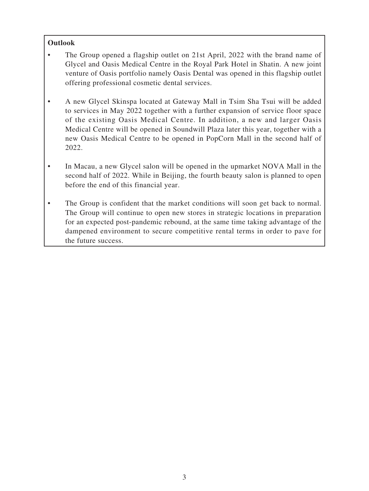## **Outlook**

- The Group opened a flagship outlet on 21st April, 2022 with the brand name of Glycel and Oasis Medical Centre in the Royal Park Hotel in Shatin. A new joint venture of Oasis portfolio namely Oasis Dental was opened in this flagship outlet offering professional cosmetic dental services.
- A new Glycel Skinspa located at Gateway Mall in Tsim Sha Tsui will be added to services in May 2022 together with a further expansion of service floor space of the existing Oasis Medical Centre. In addition, a new and larger Oasis Medical Centre will be opened in Soundwill Plaza later this year, together with a new Oasis Medical Centre to be opened in PopCorn Mall in the second half of 2022.
- In Macau, a new Glycel salon will be opened in the upmarket NOVA Mall in the second half of 2022. While in Beijing, the fourth beauty salon is planned to open before the end of this financial year.
- The Group is confident that the market conditions will soon get back to normal. The Group will continue to open new stores in strategic locations in preparation for an expected post-pandemic rebound, at the same time taking advantage of the dampened environment to secure competitive rental terms in order to pave for the future success.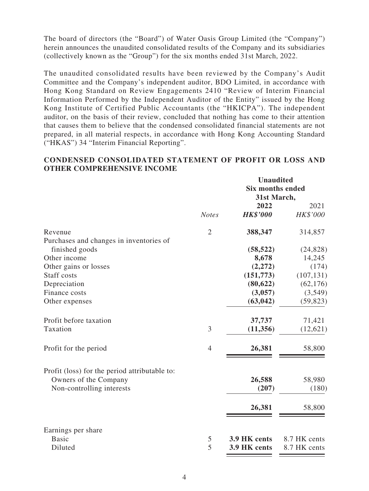The board of directors (the "Board") of Water Oasis Group Limited (the "Company") herein announces the unaudited consolidated results of the Company and its subsidiaries (collectively known as the "Group") for the six months ended 31st March, 2022.

The unaudited consolidated results have been reviewed by the Company's Audit Committee and the Company's independent auditor, BDO Limited, in accordance with Hong Kong Standard on Review Engagements 2410 "Review of Interim Financial Information Performed by the Independent Auditor of the Entity" issued by the Hong Kong Institute of Certified Public Accountants (the "HKICPA"). The independent auditor, on the basis of their review, concluded that nothing has come to their attention that causes them to believe that the condensed consolidated financial statements are not prepared, in all material respects, in accordance with Hong Kong Accounting Standard ("HKAS") 34 "Interim Financial Reporting".

### **CONDENSED CONSOLIDATED STATEMENT OF PROFIT OR LOSS AND OTHER COMPREHENSIVE INCOME**

|                                               |                | <b>Unaudited</b>        |              |  |
|-----------------------------------------------|----------------|-------------------------|--------------|--|
|                                               |                | <b>Six months ended</b> |              |  |
|                                               |                | 31st March,<br>2022     | 2021         |  |
|                                               | <b>Notes</b>   | <b>HK\$'000</b>         | HK\$'000     |  |
| Revenue                                       | $\overline{2}$ | 388,347                 | 314,857      |  |
| Purchases and changes in inventories of       |                |                         |              |  |
| finished goods                                |                | (58, 522)               | (24, 828)    |  |
| Other income                                  |                | 8,678                   | 14,245       |  |
| Other gains or losses                         |                | (2,272)                 | (174)        |  |
| Staff costs                                   |                | (151, 773)              | (107, 131)   |  |
| Depreciation                                  |                | (80, 622)               | (62, 176)    |  |
| Finance costs                                 |                | (3,057)                 | (3,549)      |  |
| Other expenses                                |                | (63, 042)               | (59, 823)    |  |
| Profit before taxation                        |                | 37,737                  | 71,421       |  |
| Taxation                                      | 3              | (11,356)                | (12,621)     |  |
| Profit for the period                         | $\overline{4}$ | 26,381                  | 58,800       |  |
| Profit (loss) for the period attributable to: |                |                         |              |  |
| Owners of the Company                         |                | 26,588                  | 58,980       |  |
| Non-controlling interests                     |                | (207)                   | (180)        |  |
|                                               |                | 26,381                  | 58,800       |  |
|                                               |                |                         |              |  |
| Earnings per share                            |                |                         |              |  |
| <b>Basic</b>                                  | 5              | 3.9 HK cents            | 8.7 HK cents |  |
| Diluted                                       | 5              | 3.9 HK cents            | 8.7 HK cents |  |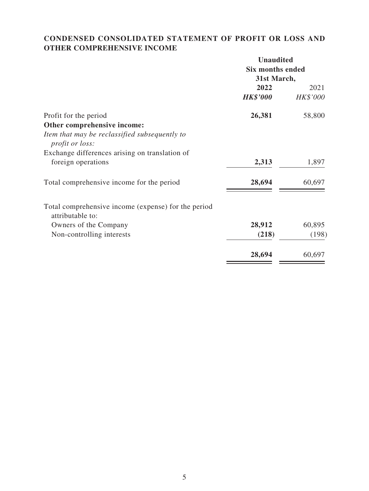# **CONDENSED CONSOLIDATED STATEMENT OF PROFIT OR LOSS AND OTHER COMPREHENSIVE INCOME**

|                                                                         | <b>Unaudited</b>        |          |  |
|-------------------------------------------------------------------------|-------------------------|----------|--|
|                                                                         | <b>Six months ended</b> |          |  |
|                                                                         | 31st March,             |          |  |
|                                                                         | 2022                    | 2021     |  |
|                                                                         | <b>HK\$'000</b>         | HK\$'000 |  |
| Profit for the period                                                   | 26,381                  | 58,800   |  |
| Other comprehensive income:                                             |                         |          |  |
| Item that may be reclassified subsequently to<br>profit or loss:        |                         |          |  |
| Exchange differences arising on translation of                          |                         |          |  |
| foreign operations                                                      | 2,313                   | 1,897    |  |
| Total comprehensive income for the period                               | 28,694                  | 60,697   |  |
| Total comprehensive income (expense) for the period<br>attributable to: |                         |          |  |
| Owners of the Company                                                   | 28,912                  | 60,895   |  |
| Non-controlling interests                                               | (218)                   | (198)    |  |
|                                                                         | 28,694                  | 60,697   |  |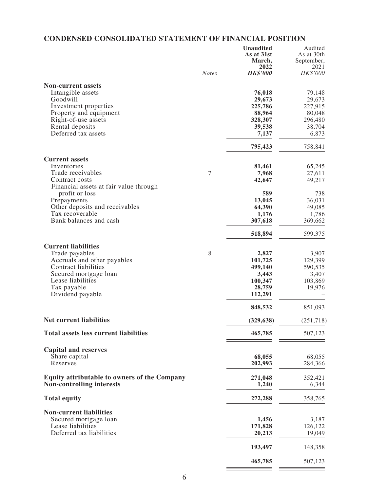# **CONDENSED CONSOLIDATED STATEMENT OF FINANCIAL POSITION**

|                                                          | <b>Notes</b> | <b>Unaudited</b><br>As at 31st<br>March,<br>2022<br><b>HK\$'000</b> | Audited<br>As at 30th<br>September,<br>2021<br>HK\$'000 |
|----------------------------------------------------------|--------------|---------------------------------------------------------------------|---------------------------------------------------------|
|                                                          |              |                                                                     |                                                         |
| <b>Non-current assets</b>                                |              |                                                                     |                                                         |
| Intangible assets                                        |              | 76,018                                                              | 79,148                                                  |
| Goodwill                                                 |              | 29,673                                                              | 29,673                                                  |
| Investment properties<br>Property and equipment          |              | 225,786<br>88,964                                                   | 227,915                                                 |
| Right-of-use assets                                      |              | 328,307                                                             | 80,048<br>296,480                                       |
| Rental deposits                                          |              | 39,538                                                              | 38,704                                                  |
| Deferred tax assets                                      |              | 7,137                                                               | 6,873                                                   |
|                                                          |              | 795,423                                                             | 758,841                                                 |
| <b>Current assets</b>                                    |              |                                                                     |                                                         |
| Inventories                                              |              | 81,461                                                              | 65,245                                                  |
| Trade receivables                                        | 7            | 7,968                                                               | 27,611                                                  |
| Contract costs<br>Financial assets at fair value through |              | 42,647                                                              | 49,217                                                  |
| profit or loss                                           |              | 589                                                                 | 738                                                     |
| Prepayments                                              |              | 13,045                                                              | 36,031                                                  |
| Other deposits and receivables                           |              | 64,390                                                              | 49,085                                                  |
| Tax recoverable<br>Bank balances and cash                |              | 1,176<br>307,618                                                    | 1,786<br>369,662                                        |
|                                                          |              | 518,894                                                             | 599,375                                                 |
| <b>Current liabilities</b>                               |              |                                                                     |                                                         |
| Trade payables                                           | 8            | 2,827                                                               | 3,907                                                   |
| Accruals and other payables                              |              | 101,725                                                             | 129,399                                                 |
| <b>Contract liabilities</b>                              |              | 499,140                                                             | 590,535                                                 |
| Secured mortgage loan                                    |              | 3,443                                                               | 3,407                                                   |
| Lease liabilities                                        |              | 100,347                                                             | 103,869                                                 |
| Tax payable                                              |              | 28,759                                                              | 19,976                                                  |
| Dividend payable                                         |              | 112,291                                                             |                                                         |
|                                                          |              | 848,532                                                             | 851,093                                                 |
| <b>Net current liabilities</b>                           |              | (329, 638)                                                          | (251, 718)                                              |
| <b>Total assets less current liabilities</b>             |              | 465,785                                                             | 507,123                                                 |
| <b>Capital and reserves</b>                              |              |                                                                     |                                                         |
| Share capital                                            |              | 68,055                                                              | 68,055                                                  |
| Reserves                                                 |              | 202,993                                                             | 284,366                                                 |
| <b>Equity attributable to owners of the Company</b>      |              | 271,048                                                             | 352,421                                                 |
| <b>Non-controlling interests</b>                         |              | 1,240                                                               | 6,344                                                   |
| <b>Total equity</b>                                      |              | 272,288                                                             | 358,765                                                 |
| <b>Non-current liabilities</b>                           |              |                                                                     |                                                         |
| Secured mortgage loan                                    |              | 1,456                                                               | 3,187                                                   |
| Lease liabilities                                        |              | 171,828                                                             | 126,122                                                 |
| Deferred tax liabilities                                 |              | 20,213                                                              | 19,049                                                  |
|                                                          |              | 193,497                                                             | 148,358                                                 |
|                                                          |              | 465,785                                                             | 507,123                                                 |

 $\overline{\phantom{a}}$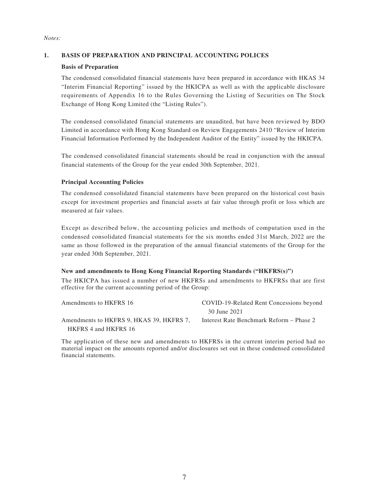#### *Notes:*

### **1. BASIS OF PREPARATION AND PRINCIPAL ACCOUNTING POLICES**

### **Basis of Preparation**

The condensed consolidated financial statements have been prepared in accordance with HKAS 34 "Interim Financial Reporting" issued by the HKICPA as well as with the applicable disclosure requirements of Appendix 16 to the Rules Governing the Listing of Securities on The Stock Exchange of Hong Kong Limited (the "Listing Rules").

The condensed consolidated financial statements are unaudited, but have been reviewed by BDO Limited in accordance with Hong Kong Standard on Review Engagements 2410 "Review of Interim Financial Information Performed by the Independent Auditor of the Entity" issued by the HKICPA.

The condensed consolidated financial statements should be read in conjunction with the annual financial statements of the Group for the year ended 30th September, 2021.

### **Principal Accounting Policies**

The condensed consolidated financial statements have been prepared on the historical cost basis except for investment properties and financial assets at fair value through profit or loss which are measured at fair values.

Except as described below, the accounting policies and methods of computation used in the condensed consolidated financial statements for the six months ended 31st March, 2022 are the same as those followed in the preparation of the annual financial statements of the Group for the year ended 30th September, 2021.

#### **New and amendments to Hong Kong Financial Reporting Standards ("HKFRS(s)")**

The HKICPA has issued a number of new HKFRSs and amendments to HKFRSs that are first effective for the current accounting period of the Group:

| Amendments to HKFRS 16                   | COVID-19-Related Rent Concessions beyond |  |  |  |
|------------------------------------------|------------------------------------------|--|--|--|
|                                          | 30 June 2021                             |  |  |  |
| Amendments to HKFRS 9, HKAS 39, HKFRS 7, | Interest Rate Benchmark Reform – Phase 2 |  |  |  |
| HKFRS 4 and HKFRS 16                     |                                          |  |  |  |

The application of these new and amendments to HKFRSs in the current interim period had no material impact on the amounts reported and/or disclosures set out in these condensed consolidated financial statements.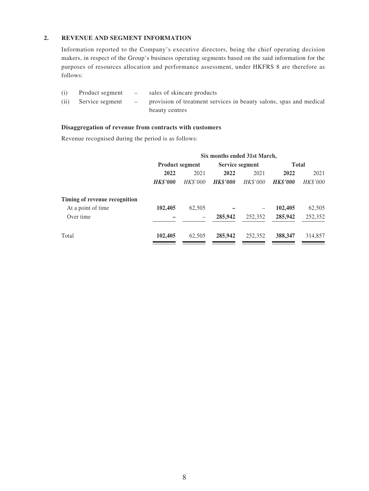### **2. REVENUE AND SEGMENT INFORMATION**

Information reported to the Company's executive directors, being the chief operating decision makers, in respect of the Group's business operating segments based on the said information for the purposes of resources allocation and performance assessment, under HKFRS 8 are therefore as follows:

| (i)  |                 | Product segment – sales of skincare products                         |
|------|-----------------|----------------------------------------------------------------------|
| (ii) | Service segment | - provision of treatment services in beauty salons, spas and medical |
|      |                 | beauty centres                                                       |

#### **Disaggregation of revenue from contracts with customers**

Revenue recognised during the period is as follows:

|                               | Six months ended 31st March, |                        |                 |                 |                 |          |
|-------------------------------|------------------------------|------------------------|-----------------|-----------------|-----------------|----------|
|                               |                              | <b>Product segment</b> | Service segment |                 | <b>Total</b>    |          |
|                               | 2022                         | 2021                   | 2022            | 2021            |                 | 2021     |
|                               | <b>HK\$'000</b>              | HK\$'000               | <b>HK\$'000</b> | <b>HK\$'000</b> | <b>HK\$'000</b> | HK\$'000 |
| Timing of revenue recognition |                              |                        |                 |                 |                 |          |
| At a point of time            | 102,405                      | 62,505                 |                 |                 | 102,405         | 62,505   |
| Over time                     |                              | -                      | 285,942         | 252,352         | 285,942         | 252,352  |
| Total                         | 102,405                      | 62,505                 | 285,942         | 252,352         | 388,347         | 314,857  |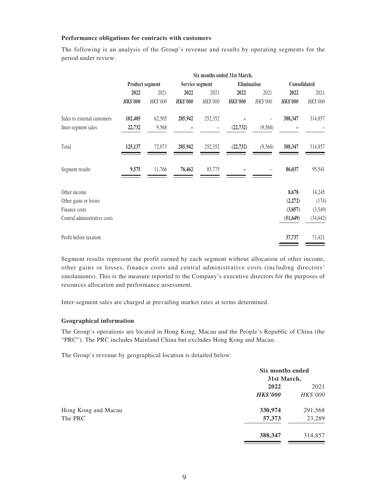#### **Performance obligations for contracts with customers**

The following is an analysis of the Group's revenue and results by operating segments for the period under review:

|                              | Six months ended 31st March, |          |                 |          |                 |          |                 |           |
|------------------------------|------------------------------|----------|-----------------|----------|-----------------|----------|-----------------|-----------|
|                              | <b>Product segment</b>       |          | Service segment |          | Elimination     |          | Consolidated    |           |
|                              | 2022                         | 2021     | 2022            | 2021     | 2022            | 2021     | 2022            | 2021      |
|                              | <b>HK\$'000</b>              | HK\$'000 | <b>HK\$'000</b> | HK\$'000 | <b>HK\$'000</b> | HK\$'000 | <b>HK\$'000</b> | HK\$'000  |
| Sales to external customers  | 102,405                      | 62,505   | 285,942         | 252,352  |                 |          | 388,347         | 314,857   |
| Inter-segment sales          | 22,732                       | 9,568    |                 | -        | (22, 732)       | (9,568)  |                 |           |
| Total                        | 125,137                      | 72,073   | 285,942         | 252,352  | (22, 732)       | (9, 568) | 388,347         | 314,857   |
| Segment results              | 9,575                        | 11,766   | 76,462          | 83,775   |                 |          | 86,037          | 95,541    |
| Other income                 |                              |          |                 |          |                 |          | 8,678           | 14,245    |
| Other gains or losses        |                              |          |                 |          |                 |          | (2,272)         | (174)     |
| Finance costs                |                              |          |                 |          |                 |          | (3,057)         | (3,549)   |
| Central administrative costs |                              |          |                 |          |                 |          | (51, 649)       | (34, 642) |
| Profit before taxation       |                              |          |                 |          |                 |          | 37,737          | 71,421    |

Segment results represent the profit earned by each segment without allocation of other income, other gains or losses, finance costs and central administrative costs (including directors' emoluments). This is the measure reported to the Company's executive directors for the purposes of resources allocation and performance assessment.

Inter-segment sales are charged at prevailing market rates at terms determined.

#### **Geographical information**

The Group's operations are located in Hong Kong, Macau and the People's Republic of China (the "PRC"). The PRC includes Mainland China but excludes Hong Kong and Macau.

The Group's revenue by geographical location is detailed below:

|                     |                 | Six months ended<br>31st March, |  |  |
|---------------------|-----------------|---------------------------------|--|--|
|                     | 2022            | 2021                            |  |  |
|                     | <b>HK\$'000</b> | HK\$'000                        |  |  |
| Hong Kong and Macau | 330,974         | 291,568                         |  |  |
| The PRC             | 57,373          | 23,289                          |  |  |
|                     | 388,347         | 314,857                         |  |  |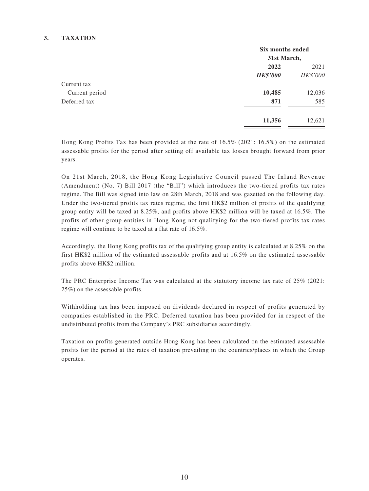### **3. TAXATION**

|                | Six months ended<br>31st March, |          |  |
|----------------|---------------------------------|----------|--|
|                |                                 |          |  |
|                | 2022                            | 2021     |  |
|                | <b>HK\$'000</b>                 | HK\$'000 |  |
| Current tax    |                                 |          |  |
| Current period | 10,485                          | 12,036   |  |
| Deferred tax   | 871                             | 585      |  |
|                | 11,356                          | 12,621   |  |

Hong Kong Profits Tax has been provided at the rate of 16.5% (2021: 16.5%) on the estimated assessable profits for the period after setting off available tax losses brought forward from prior years.

On 21st March, 2018, the Hong Kong Legislative Council passed The Inland Revenue (Amendment) (No. 7) Bill 2017 (the "Bill") which introduces the two-tiered profits tax rates regime. The Bill was signed into law on 28th March, 2018 and was gazetted on the following day. Under the two-tiered profits tax rates regime, the first HK\$2 million of profits of the qualifying group entity will be taxed at 8.25%, and profits above HK\$2 million will be taxed at 16.5%. The profits of other group entities in Hong Kong not qualifying for the two-tiered profits tax rates regime will continue to be taxed at a flat rate of 16.5%.

Accordingly, the Hong Kong profits tax of the qualifying group entity is calculated at 8.25% on the first HK\$2 million of the estimated assessable profits and at 16.5% on the estimated assessable profits above HK\$2 million.

The PRC Enterprise Income Tax was calculated at the statutory income tax rate of 25% (2021: 25%) on the assessable profits.

Withholding tax has been imposed on dividends declared in respect of profits generated by companies established in the PRC. Deferred taxation has been provided for in respect of the undistributed profits from the Company's PRC subsidiaries accordingly.

Taxation on profits generated outside Hong Kong has been calculated on the estimated assessable profits for the period at the rates of taxation prevailing in the countries/places in which the Group operates.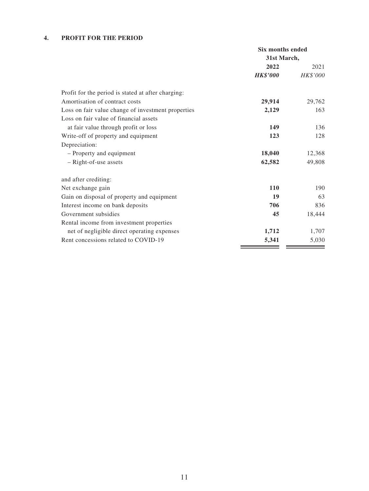### **4. PROFIT FOR THE PERIOD**

|                                                    | Six months ended |                 |  |
|----------------------------------------------------|------------------|-----------------|--|
|                                                    | 31st March,      |                 |  |
|                                                    | 2022             | 2021            |  |
|                                                    | <b>HK\$'000</b>  | <i>HK\$'000</i> |  |
| Profit for the period is stated at after charging: |                  |                 |  |
| Amortisation of contract costs                     | 29,914           | 29,762          |  |
| Loss on fair value change of investment properties | 2,129            | 163             |  |
| Loss on fair value of financial assets             |                  |                 |  |
| at fair value through profit or loss               | 149              | 136             |  |
| Write-off of property and equipment                | 123              | 128             |  |
| Depreciation:                                      |                  |                 |  |
| - Property and equipment                           | 18,040           | 12,368          |  |
| - Right-of-use assets                              | 62,582           | 49,808          |  |
| and after crediting:                               |                  |                 |  |
| Net exchange gain                                  | <b>110</b>       | 190             |  |
| Gain on disposal of property and equipment         | 19               | 63              |  |
| Interest income on bank deposits                   | 706              | 836             |  |
| Government subsidies                               | 45               | 18,444          |  |
| Rental income from investment properties           |                  |                 |  |
| net of negligible direct operating expenses        | 1,712            | 1,707           |  |
| Rent concessions related to COVID-19               | 5,341            | 5,030           |  |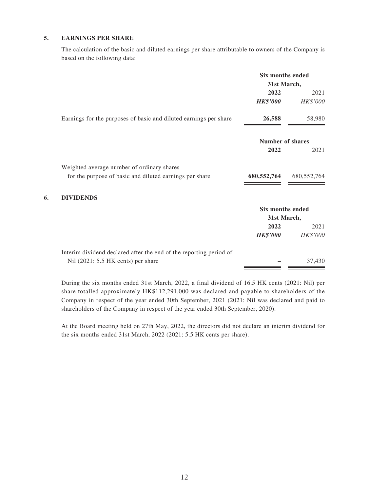### **5. EARNINGS PER SHARE**

The calculation of the basic and diluted earnings per share attributable to owners of the Company is based on the following data:

|    |                                                                    | <b>Six months ended</b> |             |
|----|--------------------------------------------------------------------|-------------------------|-------------|
|    |                                                                    | 31st March,             |             |
|    |                                                                    | 2022                    | 2021        |
|    |                                                                    | <b>HK\$'000</b>         | HK\$'000    |
|    | Earnings for the purposes of basic and diluted earnings per share  | 26,588                  | 58,980      |
|    |                                                                    | <b>Number of shares</b> |             |
|    |                                                                    | 2022                    | 2021        |
|    | Weighted average number of ordinary shares                         |                         |             |
|    | for the purpose of basic and diluted earnings per share            | 680,552,764             | 680,552,764 |
| 6. | <b>DIVIDENDS</b>                                                   |                         |             |
|    |                                                                    | <b>Six months ended</b> |             |
|    |                                                                    | 31st March,             |             |
|    |                                                                    | 2022                    | 2021        |
|    |                                                                    | <b>HK\$'000</b>         | HK\$'000    |
|    | Interim dividend declared after the end of the reporting period of |                         |             |
|    | Nil (2021: 5.5 HK cents) per share                                 |                         | 37,430      |

During the six months ended 31st March, 2022, a final dividend of 16.5 HK cents (2021: Nil) per share totalled approximately HK\$112,291,000 was declared and payable to shareholders of the Company in respect of the year ended 30th September, 2021 (2021: Nil was declared and paid to shareholders of the Company in respect of the year ended 30th September, 2020).

At the Board meeting held on 27th May, 2022, the directors did not declare an interim dividend for the six months ended 31st March, 2022 (2021: 5.5 HK cents per share).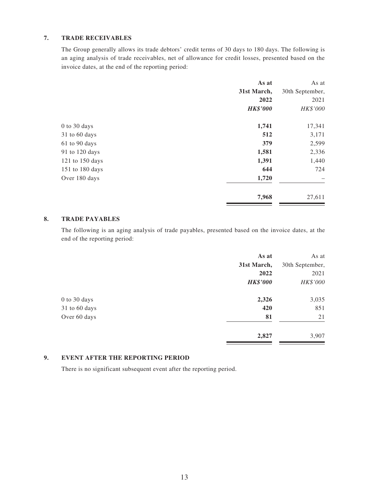### **7. TRADE RECEIVABLES**

The Group generally allows its trade debtors' credit terms of 30 days to 180 days. The following is an aging analysis of trade receivables, net of allowance for credit losses, presented based on the invoice dates, at the end of the reporting period:

|                 | As at           | As at           |
|-----------------|-----------------|-----------------|
|                 | 31st March,     | 30th September, |
|                 | 2022            | 2021            |
|                 | <b>HK\$'000</b> | HK\$'000        |
| $0$ to 30 days  | 1,741           | 17,341          |
| 31 to 60 days   | 512             | 3,171           |
| 61 to 90 days   | 379             | 2,599           |
| 91 to 120 days  | 1,581           | 2,336           |
| 121 to 150 days | 1,391           | 1,440           |
| 151 to 180 days | 644             | 724             |
| Over 180 days   | 1,720           |                 |
|                 | 7,968           | 27,611          |

### **8. TRADE PAYABLES**

The following is an aging analysis of trade payables, presented based on the invoice dates, at the end of the reporting period:

|               | As at           | As at           |
|---------------|-----------------|-----------------|
|               | 31st March,     | 30th September, |
|               | 2022            | 2021            |
|               | <b>HK\$'000</b> | HK\$'000        |
| 0 to 30 days  | 2,326           | 3,035           |
| 31 to 60 days | 420             | 851             |
| Over 60 days  | 81              | 21              |
|               | 2,827           | 3,907           |

#### **9. EVENT AFTER THE REPORTING PERIOD**

There is no significant subsequent event after the reporting period.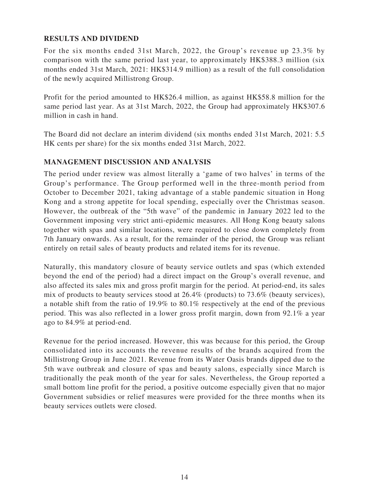### **RESULTS AND DIVIDEND**

For the six months ended 31st March, 2022, the Group's revenue up 23.3% by comparison with the same period last year, to approximately HK\$388.3 million (six months ended 31st March, 2021: HK\$314.9 million) as a result of the full consolidation of the newly acquired Millistrong Group.

Profit for the period amounted to HK\$26.4 million, as against HK\$58.8 million for the same period last year. As at 31st March, 2022, the Group had approximately HK\$307.6 million in cash in hand.

The Board did not declare an interim dividend (six months ended 31st March, 2021: 5.5 HK cents per share) for the six months ended 31st March, 2022.

### **MANAGEMENT DISCUSSION AND ANALYSIS**

The period under review was almost literally a 'game of two halves' in terms of the Group's performance. The Group performed well in the three-month period from October to December 2021, taking advantage of a stable pandemic situation in Hong Kong and a strong appetite for local spending, especially over the Christmas season. However, the outbreak of the "5th wave" of the pandemic in January 2022 led to the Government imposing very strict anti-epidemic measures. All Hong Kong beauty salons together with spas and similar locations, were required to close down completely from 7th January onwards. As a result, for the remainder of the period, the Group was reliant entirely on retail sales of beauty products and related items for its revenue.

Naturally, this mandatory closure of beauty service outlets and spas (which extended beyond the end of the period) had a direct impact on the Group's overall revenue, and also affected its sales mix and gross profit margin for the period. At period-end, its sales mix of products to beauty services stood at 26.4% (products) to 73.6% (beauty services), a notable shift from the ratio of 19.9% to 80.1% respectively at the end of the previous period. This was also reflected in a lower gross profit margin, down from 92.1% a year ago to 84.9% at period-end.

Revenue for the period increased. However, this was because for this period, the Group consolidated into its accounts the revenue results of the brands acquired from the Millistrong Group in June 2021. Revenue from its Water Oasis brands dipped due to the 5th wave outbreak and closure of spas and beauty salons, especially since March is traditionally the peak month of the year for sales. Nevertheless, the Group reported a small bottom line profit for the period, a positive outcome especially given that no major Government subsidies or relief measures were provided for the three months when its beauty services outlets were closed.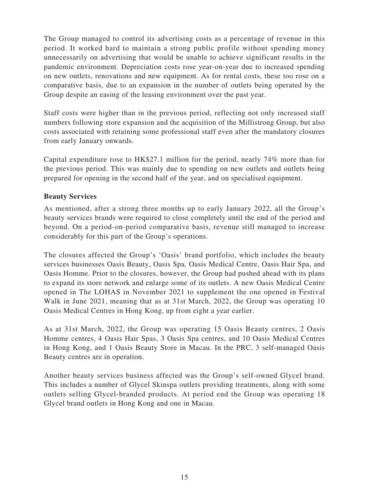The Group managed to control its advertising costs as a percentage of revenue in this period. It worked hard to maintain a strong public profile without spending money unnecessarily on advertising that would be unable to achieve significant results in the pandemic environment. Depreciation costs rose year-on-year due to increased spending on new outlets, renovations and new equipment. As for rental costs, these too rose on a comparative basis, due to an expansion in the number of outlets being operated by the Group despite an easing of the leasing environment over the past year.

Staff costs were higher than in the previous period, reflecting not only increased staff numbers following store expansion and the acquisition of the Millistrong Group, but also costs associated with retaining some professional staff even after the mandatory closures from early January onwards.

Capital expenditure rose to HK\$27.1 million for the period, nearly 74% more than for the previous period. This was mainly due to spending on new outlets and outlets being prepared for opening in the second half of the year, and on specialised equipment.

### **Beauty Services**

As mentioned, after a strong three months up to early January 2022, all the Group's beauty services brands were required to close completely until the end of the period and beyond. On a period-on-period comparative basis, revenue still managed to increase considerably for this part of the Group's operations.

The closures affected the Group's 'Oasis' brand portfolio, which includes the beauty services businesses Oasis Beauty, Oasis Spa, Oasis Medical Centre, Oasis Hair Spa, and Oasis Homme. Prior to the closures, however, the Group had pushed ahead with its plans to expand its store network and enlarge some of its outlets. A new Oasis Medical Centre opened in The LOHAS in November 2021 to supplement the one opened in Festival Walk in June 2021, meaning that as at 31st March, 2022, the Group was operating 10 Oasis Medical Centres in Hong Kong, up from eight a year earlier.

As at 31st March, 2022, the Group was operating 15 Oasis Beauty centres, 2 Oasis Homme centres, 4 Oasis Hair Spas, 3 Oasis Spa centres, and 10 Oasis Medical Centres in Hong Kong, and 1 Oasis Beauty Store in Macau. In the PRC, 3 self-managed Oasis Beauty centres are in operation.

Another beauty services business affected was the Group's self-owned Glycel brand. This includes a number of Glycel Skinspa outlets providing treatments, along with some outlets selling Glycel-branded products. At period end the Group was operating 18 Glycel brand outlets in Hong Kong and one in Macau.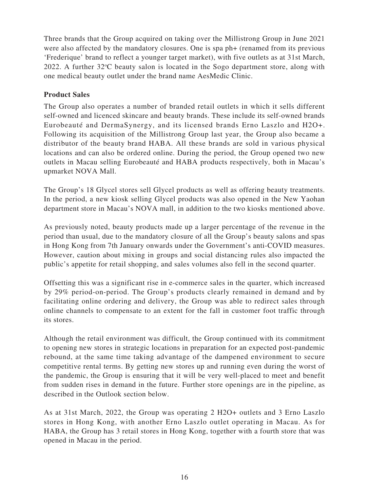Three brands that the Group acquired on taking over the Millistrong Group in June 2021 were also affected by the mandatory closures. One is spa ph+ (renamed from its previous 'Frederique' brand to reflect a younger target market), with five outlets as at 31st March, 2022. A further  $32^{\circ}$ C beauty salon is located in the Sogo department store, along with one medical beauty outlet under the brand name AesMedic Clinic.

### **Product Sales**

The Group also operates a number of branded retail outlets in which it sells different self-owned and licenced skincare and beauty brands. These include its self-owned brands Eurobeauté and DermaSynergy, and its licensed brands Erno Laszlo and H2O+. Following its acquisition of the Millistrong Group last year, the Group also became a distributor of the beauty brand HABA. All these brands are sold in various physical locations and can also be ordered online. During the period, the Group opened two new outlets in Macau selling Eurobeauté and HABA products respectively, both in Macau's upmarket NOVA Mall.

The Group's 18 Glycel stores sell Glycel products as well as offering beauty treatments. In the period, a new kiosk selling Glycel products was also opened in the New Yaohan department store in Macau's NOVA mall, in addition to the two kiosks mentioned above.

As previously noted, beauty products made up a larger percentage of the revenue in the period than usual, due to the mandatory closure of all the Group's beauty salons and spas in Hong Kong from 7th January onwards under the Government's anti-COVID measures. However, caution about mixing in groups and social distancing rules also impacted the public's appetite for retail shopping, and sales volumes also fell in the second quarter.

Offsetting this was a significant rise in e-commerce sales in the quarter, which increased by 29% period-on-period. The Group's products clearly remained in demand and by facilitating online ordering and delivery, the Group was able to redirect sales through online channels to compensate to an extent for the fall in customer foot traffic through its stores.

Although the retail environment was difficult, the Group continued with its commitment to opening new stores in strategic locations in preparation for an expected post-pandemic rebound, at the same time taking advantage of the dampened environment to secure competitive rental terms. By getting new stores up and running even during the worst of the pandemic, the Group is ensuring that it will be very well-placed to meet and benefit from sudden rises in demand in the future. Further store openings are in the pipeline, as described in the Outlook section below.

As at 31st March, 2022, the Group was operating 2 H2O+ outlets and 3 Erno Laszlo stores in Hong Kong, with another Erno Laszlo outlet operating in Macau. As for HABA, the Group has 3 retail stores in Hong Kong, together with a fourth store that was opened in Macau in the period.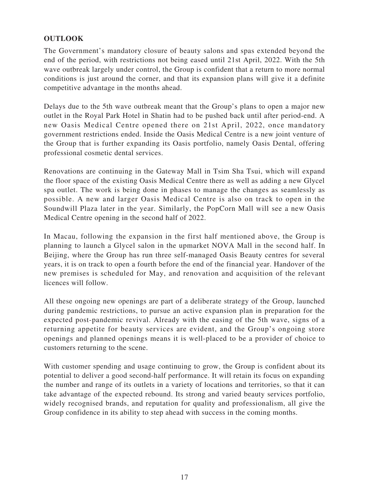# **OUTLOOK**

The Government's mandatory closure of beauty salons and spas extended beyond the end of the period, with restrictions not being eased until 21st April, 2022. With the 5th wave outbreak largely under control, the Group is confident that a return to more normal conditions is just around the corner, and that its expansion plans will give it a definite competitive advantage in the months ahead.

Delays due to the 5th wave outbreak meant that the Group's plans to open a major new outlet in the Royal Park Hotel in Shatin had to be pushed back until after period-end. A new Oasis Medical Centre opened there on 21st April, 2022, once mandatory government restrictions ended. Inside the Oasis Medical Centre is a new joint venture of the Group that is further expanding its Oasis portfolio, namely Oasis Dental, offering professional cosmetic dental services.

Renovations are continuing in the Gateway Mall in Tsim Sha Tsui, which will expand the floor space of the existing Oasis Medical Centre there as well as adding a new Glycel spa outlet. The work is being done in phases to manage the changes as seamlessly as possible. A new and larger Oasis Medical Centre is also on track to open in the Soundwill Plaza later in the year. Similarly, the PopCorn Mall will see a new Oasis Medical Centre opening in the second half of 2022.

In Macau, following the expansion in the first half mentioned above, the Group is planning to launch a Glycel salon in the upmarket NOVA Mall in the second half. In Beijing, where the Group has run three self-managed Oasis Beauty centres for several years, it is on track to open a fourth before the end of the financial year. Handover of the new premises is scheduled for May, and renovation and acquisition of the relevant licences will follow.

All these ongoing new openings are part of a deliberate strategy of the Group, launched during pandemic restrictions, to pursue an active expansion plan in preparation for the expected post-pandemic revival. Already with the easing of the 5th wave, signs of a returning appetite for beauty services are evident, and the Group's ongoing store openings and planned openings means it is well-placed to be a provider of choice to customers returning to the scene.

With customer spending and usage continuing to grow, the Group is confident about its potential to deliver a good second-half performance. It will retain its focus on expanding the number and range of its outlets in a variety of locations and territories, so that it can take advantage of the expected rebound. Its strong and varied beauty services portfolio, widely recognised brands, and reputation for quality and professionalism, all give the Group confidence in its ability to step ahead with success in the coming months.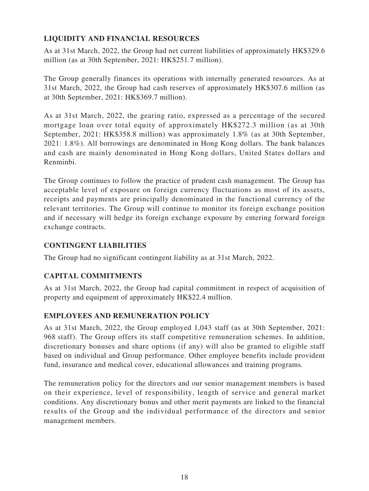# **LIQUIDITY AND FINANCIAL RESOURCES**

As at 31st March, 2022, the Group had net current liabilities of approximately HK\$329.6 million (as at 30th September, 2021: HK\$251.7 million).

The Group generally finances its operations with internally generated resources. As at 31st March, 2022, the Group had cash reserves of approximately HK\$307.6 million (as at 30th September, 2021: HK\$369.7 million).

As at 31st March, 2022, the gearing ratio, expressed as a percentage of the secured mortgage loan over total equity of approximately HK\$272.3 million (as at 30th September, 2021: HK\$358.8 million) was approximately 1.8% (as at 30th September, 2021: 1.8%). All borrowings are denominated in Hong Kong dollars. The bank balances and cash are mainly denominated in Hong Kong dollars, United States dollars and Renminbi.

The Group continues to follow the practice of prudent cash management. The Group has acceptable level of exposure on foreign currency fluctuations as most of its assets, receipts and payments are principally denominated in the functional currency of the relevant territories. The Group will continue to monitor its foreign exchange position and if necessary will hedge its foreign exchange exposure by entering forward foreign exchange contracts.

### **CONTINGENT LIABILITIES**

The Group had no significant contingent liability as at 31st March, 2022.

# **CAPITAL COMMITMENTS**

As at 31st March, 2022, the Group had capital commitment in respect of acquisition of property and equipment of approximately HK\$22.4 million.

# **EMPLOYEES AND REMUNERATION POLICY**

As at 31st March, 2022, the Group employed 1,043 staff (as at 30th September, 2021: 968 staff). The Group offers its staff competitive remuneration schemes. In addition, discretionary bonuses and share options (if any) will also be granted to eligible staff based on individual and Group performance. Other employee benefits include provident fund, insurance and medical cover, educational allowances and training programs.

The remuneration policy for the directors and our senior management members is based on their experience, level of responsibility, length of service and general market conditions. Any discretionary bonus and other merit payments are linked to the financial results of the Group and the individual performance of the directors and senior management members.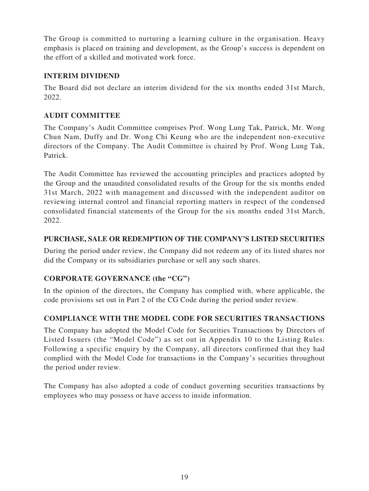The Group is committed to nurturing a learning culture in the organisation. Heavy emphasis is placed on training and development, as the Group's success is dependent on the effort of a skilled and motivated work force.

# **INTERIM DIVIDEND**

The Board did not declare an interim dividend for the six months ended 31st March, 2022.

# **AUDIT COMMITTEE**

The Company's Audit Committee comprises Prof. Wong Lung Tak, Patrick, Mr. Wong Chun Nam, Duffy and Dr. Wong Chi Keung who are the independent non-executive directors of the Company. The Audit Committee is chaired by Prof. Wong Lung Tak, Patrick.

The Audit Committee has reviewed the accounting principles and practices adopted by the Group and the unaudited consolidated results of the Group for the six months ended 31st March, 2022 with management and discussed with the independent auditor on reviewing internal control and financial reporting matters in respect of the condensed consolidated financial statements of the Group for the six months ended 31st March, 2022.

# **PURCHASE, SALE OR REDEMPTION OF THE COMPANY'S LISTED SECURITIES**

During the period under review, the Company did not redeem any of its listed shares nor did the Company or its subsidiaries purchase or sell any such shares.

# **CORPORATE GOVERNANCE (the "CG")**

In the opinion of the directors, the Company has complied with, where applicable, the code provisions set out in Part 2 of the CG Code during the period under review.

# **COMPLIANCE WITH THE MODEL CODE FOR SECURITIES TRANSACTIONS**

The Company has adopted the Model Code for Securities Transactions by Directors of Listed Issuers (the "Model Code") as set out in Appendix 10 to the Listing Rules. Following a specific enquiry by the Company, all directors confirmed that they had complied with the Model Code for transactions in the Company's securities throughout the period under review.

The Company has also adopted a code of conduct governing securities transactions by employees who may possess or have access to inside information.